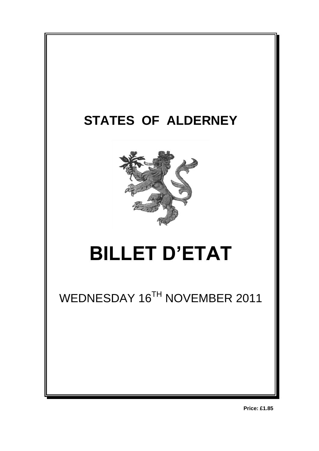

**Price: £1.85**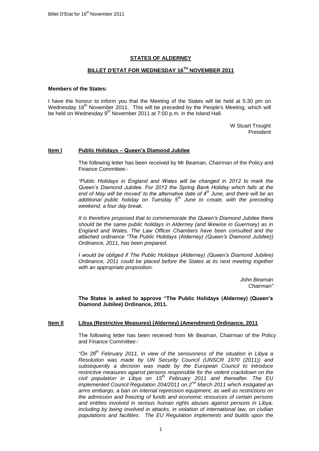# **STATES OF ALDERNEY**

# **BILLET D'ETAT FOR WEDNESDAY 16 TH NOVEMBER 2011**

#### **Members of the States:**

I have the honour to inform you that the Meeting of the States will be held at 5:30 pm on Wednesday 16<sup>th</sup> November 2011. This will be preceded by the People's Meeting, which will be held on Wednesday 9<sup>th</sup> November 2011 at 7:00 p.m. in the Island Hall.

> W Stuart Trought President

### **Item l Public Holidays – Queen's Diamond Jubilee**

The following letter has been received by Mr Beaman, Chairman of the Policy and Finance Committee:-

*"Public Holidays in England and Wales will be changed in 2012 to mark the Queen"s Diamond Jubilee. For 2012 the Spring Bank Holiday which falls at the end of May will be moved" to the alternative date of 4th June, and there will be an additional public holiday on Tuesday 5th June to create, with the preceding weekend, a four day break.*

*It is therefore proposed that to commemorate the Queen"s Diamond Jubilee there should be the same public holidays in Alderney (and likewise in Guernsey) as in England and Wales. The Law Officer Chambers have been consulted and the attached ordinance "The Public Holidays (Alderney) (Queen"s Diamond Jubilee)) Ordinance, 2011, has been prepared.*

*I* would be obliged if The Public Holidays (Alderney) (Queen's Diamond Jubilee) *Ordinance, 2011 could be placed before the States at its next meeting together with an appropriate proposition.*

> *John Beaman Chairman"*

**The States is asked to approve "The Public Holidays (Alderney) (Queen's Diamond Jubilee) Ordinance, 2011.**

### **Item ll Libya (Restrictive Measures) (Alderney) (Amendment) Ordinance, 2011**

The following letter has been received from Mr Beaman, Chairman of the Policy and Finance Committee:-

*"On 26th February 2011, in view of the seriousness of the situation in Libya a Resolution was made by UN Security Council (UNSCR 1970 (2011)) and subsequently a decision was made by the European Council to introduce restrictive measures against persons responsible for the violent crackdown on the civil population in Libya on 15th February 2011 and thereafter. The EU implemented Council Regulation 204/2011 on 2nd March 2011 which instigated an arms embargo, a ban on internal repression equipment, as well as restrictions on the admission and freezing of funds and economic resources of certain persons and entities involved in serious human rights abuses against persons in Libya, including by being involved in attacks, in violation of international law, on civilian populations and facilities. The EU Regulation implements and builds upon the*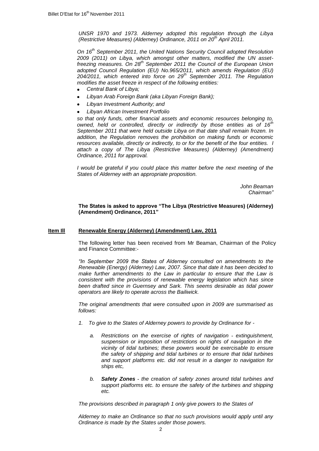*UNSR 1970 and 1973. Alderney adopted this regulation through the Libya (Restrictive Measures) (Alderney) Ordinance, 2011 on 20th April 2011.*

*On 16th September 2011, the United Nations Security Council adopted Resolution 2009 (2011) on Libya, which amongst other matters, modified the UN assetfreezing measures. On 28th September 2011 the Council of the European Union adopted Council Regulation (EU) No.965/2011, which amends Regulation (EU) 204/2011, which entered into force on 29th September 2011. The Regulation modifies the asset freeze in respect of the following entities:*

- *Central Bank of Libya;*
- *Libyan Arab Foreign Bank (aka Libyan Foreign Bank);*
- *Libyan Investment Authority; and*
- *Libyan African Investment Portfolio*

*so that only funds, other financial assets and economic resources belonging to, owned, held or controlled, directly or indirectly by those entities as of 16th September 2011 that were held outside Libya on that date shall remain frozen. In addition, the Regulation removes the prohibition on making funds or economic resources available, directly or indirectly, to or for the benefit of the four entities. I attach a copy of The Libya (Restrictive Measures) (Alderney) (Amendment) Ordinance, 2011 for approval.*

*I would be grateful if you could place this matter before the next meeting of the States of Alderney with an appropriate proposition.*

> *John Beaman Chairman"*

**The States is asked to approve "The Libya (Restrictive Measures) (Alderney) (Amendment) Ordinance, 2011"**

### **Item Ill Renewable Energy (Alderney) (Amendment) Law, 2011**

The following letter has been received from Mr Beaman, Chairman of the Policy and Finance Committee:-

*"In September 2009 the States of Alderney consulted on amendments to the Renewable (Energy) (Alderney) Law, 2007. Since that date it has been decided to make further amendments to the Law in particular to ensure that the Law is consistent with the provisions of renewable energy legislation which has since been drafted since in Guernsey and Sark. This seems desirable as tidal power operators are likely to operate across the Bailiwick.*

*The original amendments that were consulted upon in 2009 are summarised as follows:*

- *1. To give to the States of Alderney powers to provide by Ordinance for* 
	- *a. Restrictions on the exercise of rights of navigation - extinguishment, suspension or imposition of restrictions on rights of navigation in the vicinity of tidal turbines; these powers would be exercisable to ensure the safety of shipping and tidal turbines or to ensure that tidal turbines and support platforms etc. did not result in a danger to navigation for ships etc,*
	- *b. Safety Zones - the creation of safety zones around tidal turbines and support platforms etc. to ensure the safety of the turbines and shipping etc.*

*The provisions described in paragraph 1 only give powers to the States of* 

*Alderney to make an Ordinance so that no such provisions would apply until any Ordinance is made by the States under those powers.*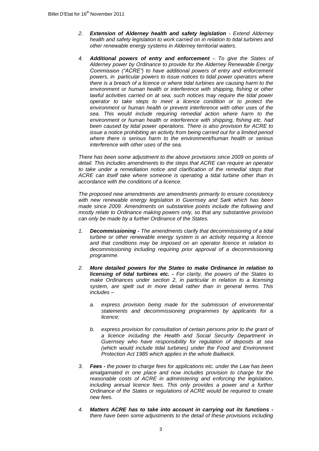- *2. Extension of Alderney health and safety legislation - Extend Alderney health and safety legislation to work carried on in relation to tidal turbines and other renewable energy systems in Alderney territorial waters.*
- *4. Additional powers of entry and enforcement – To give the States of Alderney power by Ordinance to provide for the Alderney Renewable Energy Commission ("ACRE") to have additional powers of entry and enforcement powers, in particular powers to issue notices to tidal power operators where there is a breach of a licence or where tidal turbines are causing harm to the environment or human health or interference with shipping, fishing or other*  lawful activities carried on at sea; such notices may require the tidal power *operator to take steps to meet a licence condition or to protect the environment or human health or prevent interference with other uses of the sea. This would include requiring remedial action where harm to the environment or human health or interference with shipping, fishing etc. had been caused by tidal power operations. There is also provision for ACRE to issue a notice prohibiting an activity from being carried out for a limited period where there is serious harm to the environment/human health or serious interference with other uses of the sea.*

*There has been some adjustment to the above provisions since 2009 on points of detail. This includes amendments to the steps that ACRE can require an operator*  to take under a remediation notice and clarification of the remedial steps that ACRE can itself take where someone is operating a tidal turbine other than in *accordance with the conditions of a licence.*

*The proposed new amendments are amendments primarily to ensure consistency with new renewable energy legislation in Guernsey and Sark which has been made since 2009. Amendments on substantive points include the following and mostly relate to Ordinance making powers only, so that any substantive provision can only be made by a further Ordinance of the States.*

- *1. Decommissioning - The amendments clarify that decommissioning of a tidal turbine or other renewable energy system is an activity requiring a licence and that conditions may be imposed on an operator licence in relation to decommissioning including requiring prior approval of a decommissioning programme.*
- *2. More detailed powers for the States to make Ordinance in relation to licensing of tidal turbines etc. - For clarity, the powers of the States to make Ordinances under section 2, in particular in relation to a licensing system, are spelt out in more detail rather than in general terms. This includes –*
	- *a. express provision being made for the submission of environmental statements and decommissioning programmes by applicants for a licence;*
	- *b. express provision for consultation of certain persons prior to the grant of a licence including the Health and Social Security Department in Guernsey who have responsibility for regulation of deposits at sea (which would include tidal turbines) under the Food and Environment Protection Act 1985 which applies in the whole Bailiwick.*
- *3. Fees - the power to charge fees for applications etc. under the Law has been amalgamated in one place and now includes provision to charge for the reasonable costs of ACRE in administering and enforcing the legislation, including annual licence fees. This only provides a power and a further Ordinance of the States or regulations of ACRE would be required to create new fees.*
- *4. Matters ACRE has to take into account in carrying out its functions there have been some adjustments to the detail of these provisions including*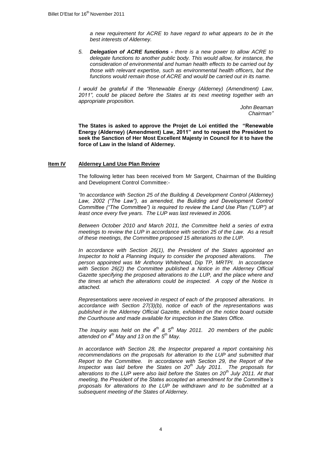*a new requirement for ACRE to have regard to what appears to be in the best interests of Alderney.*

*5. Delegation of ACRE functions - there is a new power to allow ACRE to delegate functions to another public body. This would allow, for instance, the consideration of environmental and human health effects to be carried out by those with relevant expertise, such as environmental health officers, but the functions would remain those of ACRE and would be carried out in its name.*

*I would be grateful if the "Renewable Energy (Alderney) (Amendment) Law, 2011", could be placed before the States at its next meeting together with an appropriate proposition.*

*John Beaman Chairman"*

**The States is asked to approve the Projet de Loi entitled the "Renewable Energy (Alderney) (Amendment) Law, 2011" and to request the President to seek the Sanction of Her Most Excellent Majesty in Council for it to have the force of Law in the Island of Alderney.**

### **Item IV Alderney Land Use Plan Review**

The following letter has been received from Mr Sargent, Chairman of the Building and Development Control Committee:-

*"In accordance with Section 25 of the Building & Development Control (Alderney)*  Law, 2002 ("The Law"), as amended, the Building and Development Control *Committee ("The Committee") is required to review the Land Use Plan ("LUP") at*  least once every five years. The LUP was last reviewed in 2006.

*Between October 2010 and March 2011, the Committee held a series of extra meetings to review the LUP in accordance with section 25 of the Law. As a result of these meetings, the Committee proposed 15 alterations to the LUP.* 

*In accordance with Section 26(1), the President of the States appointed an Inspector to hold a Planning Inquiry to consider the proposed alterations. The person appointed was Mr Anthony Whitehead, Dip TP, MRTPI. In accordance with Section 26(2) the Committee published a Notice in the Alderney Official Gazette specifying the proposed alterations to the LUP, and the place where and the times at which the alterations could be inspected. A copy of the Notice is attached.* 

*Representations were received in respect of each of the proposed alterations. In accordance with Section 27(3)(b), notice of each of the representations was published in the Alderney Official Gazette, exhibited on the notice board outside the Courthouse and made available for inspection in the States Office.*

*The Inquiry was held on the 4th & 5th May 2011. 20 members of the public attended on 4th May and 13 on the 5th May.* 

*In accordance with Section 28, the Inspector prepared a report containing his*  recommendations on the proposals for alteration to the LUP and submitted that *Report to the Committee. In accordance with Section 29, the Report of the Inspector was laid before the States on 20th July 2011. The proposals for alterations to the LUP were also laid before the States on 20th July 2011. At that meeting, the President of the States accepted an amendment for the Committee"s proposals for alterations to the LUP be withdrawn and to be submitted at a subsequent meeting of the States of Alderney.*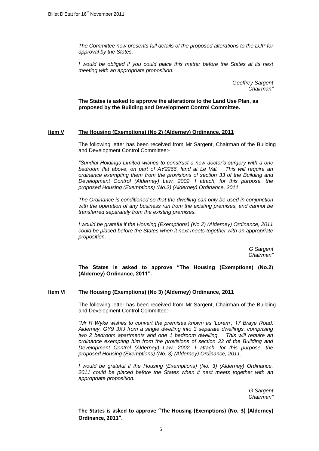*The Committee now presents full details of the proposed alterations to the LUP for approval by the States.* 

*I* would be obliged if you could place this matter before the States at its next *meeting with an appropriate proposition.*

> *Geoffrey Sargent Chairman"*

**The States is asked to approve the alterations to the Land Use Plan, as proposed by the Building and Development Control Committee.** 

## **Item V The Housing (Exemptions) (No 2) (Alderney) Ordinance, 2011**

The following letter has been received from Mr Sargent, Chairman of the Building and Development Control Committee:-

*"Sundial Holdings Limited wishes to construct a new doctor"s surgery with a one bedroom flat above, on part of AY2266, land at Le Val. This will require an ordinance exempting them from the provisions of section 33 of the Building and Development Control (Alderney) Law, 2002. I attach, for this purpose, the proposed Housing (Exemptions) (No.2) (Alderney) Ordinance, 2011.*

*The Ordinance is conditioned so that the dwelling can only be used in conjunction with the operation of any business run from the existing premises, and cannot be transferred separately from the existing premises.* 

*I would be grateful if the Housing (Exemptions) (No.2) (Alderney) Ordinance, 2011 could be placed before the States when it next meets together with an appropriate proposition.*

> *G Sargent Chairman"*

**The States is asked to approve "The Housing (Exemptions) (No.2) (Alderney) Ordinance, 2011".** 

### **Item VI The Housing (Exemptions) (No 3) (Alderney) Ordinance, 2011**

The following letter has been received from Mr Sargent, Chairman of the Building and Development Control Committee:-

*"Mr R Wyke wishes to convert the premises known as "Lorem", 17 Braye Road, Alderney, GY9 3XJ from a single dwelling into 3 separate dwellings, comprising two 2 bedroom apartments and one 1 bedroom dwelling. This will require an ordinance exempting him from the provisions of section 33 of the Building and Development Control (Alderney) Law, 2002. I attach, for this purpose, the proposed Housing (Exemptions) (No. 3) (Alderney) Ordinance, 2011.*

*I* would be grateful if the Housing (Exemptions) (No. 3) (Alderney) Ordinance, *2011 could be placed before the States when it next meets together with an appropriate proposition.*

> *G Sargent Chairman"*

**The States is asked to approve "The Housing (Exemptions) (No. 3) (Alderney) Ordinance, 2011".**